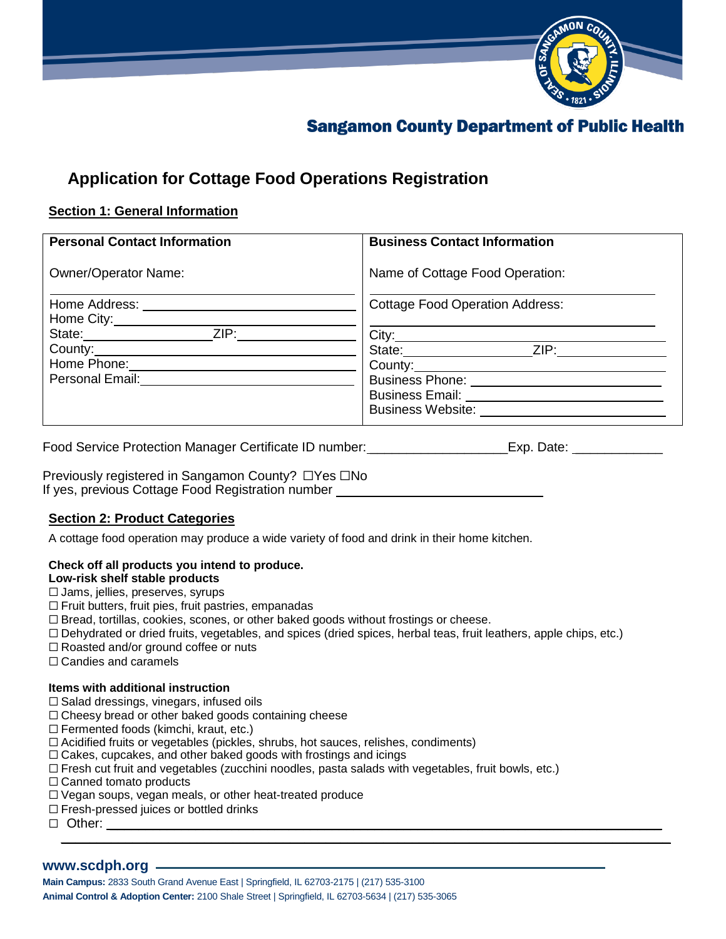

# **Sangamon County Department of Public Health**

## **Application for Cottage Food Operations Registration**

## **Section 1: General Information**

| <b>Personal Contact Information</b>                                                                                                                                                                                                                                                                                                                                                                                                                                                                                                                                                 | <b>Business Contact Information</b>                                                                                                                                                            |
|-------------------------------------------------------------------------------------------------------------------------------------------------------------------------------------------------------------------------------------------------------------------------------------------------------------------------------------------------------------------------------------------------------------------------------------------------------------------------------------------------------------------------------------------------------------------------------------|------------------------------------------------------------------------------------------------------------------------------------------------------------------------------------------------|
| <b>Owner/Operator Name:</b>                                                                                                                                                                                                                                                                                                                                                                                                                                                                                                                                                         | Name of Cottage Food Operation:                                                                                                                                                                |
| Home Address: North States and States and States and States and States and States and States and States and States and States and States and States and States and States and States and States and States and States and Stat<br>Home City: <u>_______________________</u><br>ZIP:<br>State: <u>__________</u><br>County:<br>Home Phone:<br>Personal Email:<br><u> Letter and the set of the set of the set of the set of the set of the set of the set of the set of the set of the set of the set of the set of the set of the set of the set of the set of the set of the s</u> | <b>Cottage Food Operation Address:</b><br>City:<br>ZIP:<br>State: State:<br>County:<br>Business Phone: <u>_________________</u><br>Business Email: <u>________</u><br><b>Business Website:</b> |

Food Service Protection Manager Certificate ID number: \_\_\_\_\_\_\_\_\_\_\_\_\_\_\_\_\_\_\_\_\_\_\_\_Exp. Date: \_\_\_\_\_\_\_\_\_\_

Previously registered in Sangamon County? □Yes □No If yes, previous Cottage Food Registration number

## **Section 2: Product Categories**

A cottage food operation may produce a wide variety of food and drink in their home kitchen.

## **Check off all products you intend to produce.**

## **Low-risk shelf stable products**

- □ Jams, jellies, preserves, syrups
- □ Fruit butters, fruit pies, fruit pastries, empanadas
- $\square$  Bread, tortillas, cookies, scones, or other baked goods without frostings or cheese.
- □ Dehydrated or dried fruits, vegetables, and spices (dried spices, herbal teas, fruit leathers, apple chips, etc.)
- □ Roasted and/or ground coffee or nuts
- □ Candies and caramels

## **Items with additional instruction**

- $\square$  Salad dressings, vinegars, infused oils
- $\Box$  Cheesy bread or other baked goods containing cheese
- □ Fermented foods (kimchi, kraut, etc.)
- $\square$  Acidified fruits or vegetables (pickles, shrubs, hot sauces, relishes, condiments)
- $\square$  Cakes, cupcakes, and other baked goods with frostings and icings
- $\square$  Fresh cut fruit and vegetables (zucchini noodles, pasta salads with vegetables, fruit bowls, etc.)
- □ Canned tomato products
- □ Vegan soups, vegan meals, or other heat-treated produce
- □ Fresh-pressed juices or bottled drinks
- $\Box$  Other: \_\_\_\_\_\_\_\_\_\_\_\_\_\_\_\_\_\_\_\_\_\_\_\_\_\_\_\_\_\_\_\_\_\_\_\_\_\_\_\_\_\_\_\_\_\_\_\_\_\_\_\_\_\_\_\_\_\_\_\_\_\_\_\_\_\_\_\_\_\_\_\_\_\_\_\_\_\_\_\_\_\_\_\_\_

## **[www.scdph.org](http://www.scdph.org/)**

**Main Campus:** 2833 South Grand Avenue East | Springfield, IL 62703-2175 | (217) 535-3100 **Animal Control & Adoption Center:** 2100 Shale Street | Springfield, IL 62703-5634 | (217) 535-3065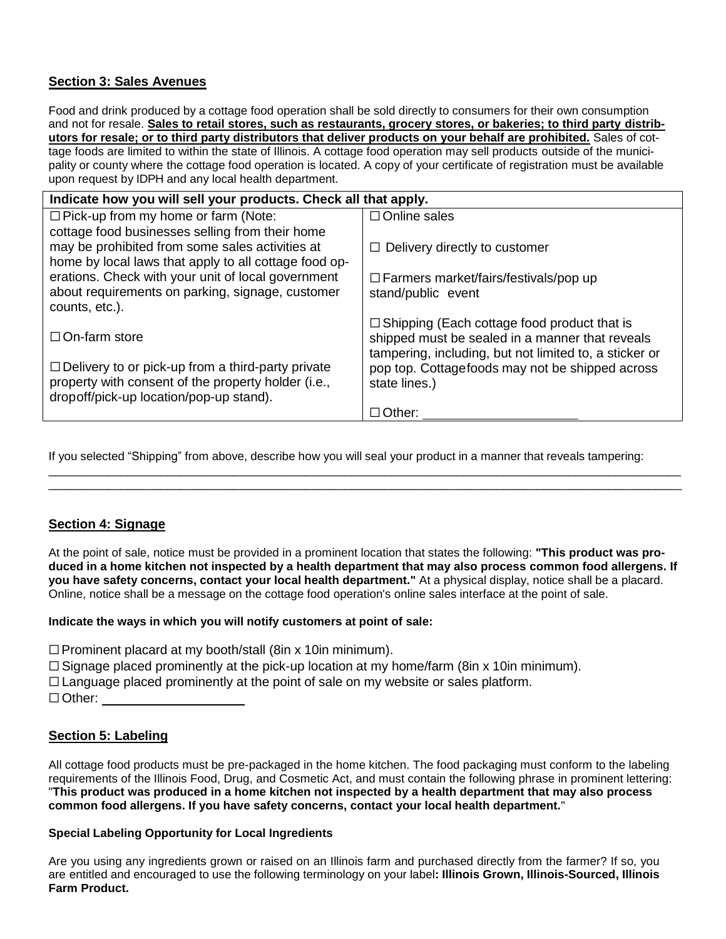## **Section 3: Sales Avenues**

Food and drink produced by a cottage food operation shall be sold directly to consumers for their own consumption and not for resale. **Sales to retail stores, such as restaurants, grocery stores, or bakeries; to third party distributors for resale; or to third party distributors that deliver products on your behalf are prohibited.** Sales of cottage foods are limited to within the state of Illinois. A cottage food operation may sell products outside of the municipality or county where the cottage food operation is located. A copy of your certificate of registration must be available upon request by IDPH and any local health department.

| Indicate how you will sell your products. Check all that apply. |                                                                  |  |  |
|-----------------------------------------------------------------|------------------------------------------------------------------|--|--|
| $\Box$ Pick-up from my home or farm (Note:                      | $\Box$ Online sales                                              |  |  |
| cottage food businesses selling from their home                 |                                                                  |  |  |
| may be prohibited from some sales activities at                 | $\Box$ Delivery directly to customer                             |  |  |
| home by local laws that apply to all cottage food op-           |                                                                  |  |  |
| erations. Check with your unit of local government              | $\Box$ Farmers market/fairs/festivals/pop up                     |  |  |
| about requirements on parking, signage, customer                | stand/public event                                               |  |  |
| counts, etc.).                                                  |                                                                  |  |  |
|                                                                 | $\Box$ Shipping (Each cottage food product that is               |  |  |
| $\Box$ On-farm store                                            | shipped must be sealed in a manner that reveals                  |  |  |
| $\Box$ Delivery to or pick-up from a third-party private        | tampering, including, but not limited to, a sticker or           |  |  |
| property with consent of the property holder (i.e.,             | pop top. Cottagefoods may not be shipped across<br>state lines.) |  |  |
| dropoff/pick-up location/pop-up stand).                         |                                                                  |  |  |
|                                                                 | $\Box$ Other:                                                    |  |  |
|                                                                 |                                                                  |  |  |

If you selected "Shipping" from above, describe how you will seal your product in a manner that reveals tampering:

\_\_\_\_\_\_\_\_\_\_\_\_\_\_\_\_\_\_\_\_\_\_\_\_\_\_\_\_\_\_\_\_\_\_\_\_\_\_\_\_\_\_\_\_\_\_\_\_\_\_\_\_\_\_\_\_\_\_\_\_\_\_\_\_\_\_\_\_\_\_\_\_\_\_\_\_\_\_\_\_\_\_\_\_\_\_\_\_\_\_\_\_\_\_\_\_ \_\_\_\_\_\_\_\_\_\_\_\_\_\_\_\_\_\_\_\_\_\_\_\_\_\_\_\_\_\_\_\_\_\_\_\_\_\_\_\_\_\_\_\_\_\_\_\_\_\_\_\_\_\_\_\_\_\_\_\_\_\_\_\_\_\_\_\_\_\_\_\_\_\_\_\_\_\_\_\_\_\_\_\_\_\_\_\_\_\_\_\_\_\_\_\_

## **Section 4: Signage**

At the point of sale, notice must be provided in a prominent location that states the following: **"This product was pro**duced in a home kitchen not inspected by a health department that may also process common food allergens. If **you have safety concerns, contact your local health department."** At a physical display, notice shall be a placard. Online, notice shall be a message on the cottage food operation's online sales interface at the point of sale.

## **Indicate the ways in which you will notify customers at point of sale:**

 $\Box$  Prominent placard at my booth/stall (8in x 10in minimum).

 $\square$  Signage placed prominently at the pick-up location at my home/farm (8in x 10in minimum).

 $\Box$  Language placed prominently at the point of sale on my website or sales platform.

□ Other:

## **Section 5: Labeling**

All cottage food products must be pre-packaged in the home kitchen. The food packaging must conform to the labeling requirements of the Illinois Food, Drug, and Cosmetic Act, and must contain the following phrase in prominent lettering: "This product was produced in a home kitchen not inspected by a health department that may also process **common food allergens. If you have safety concerns, contact your local health department.**"

## **Special Labeling Opportunity for Local Ingredients**

Are you using any ingredients grown or raised on an Illinois farm and purchased directly from the farmer? If so, you are entitled and encouraged to use the following terminology on your label**: Illinois Grown, Illinois-Sourced, Illinois Farm Product.**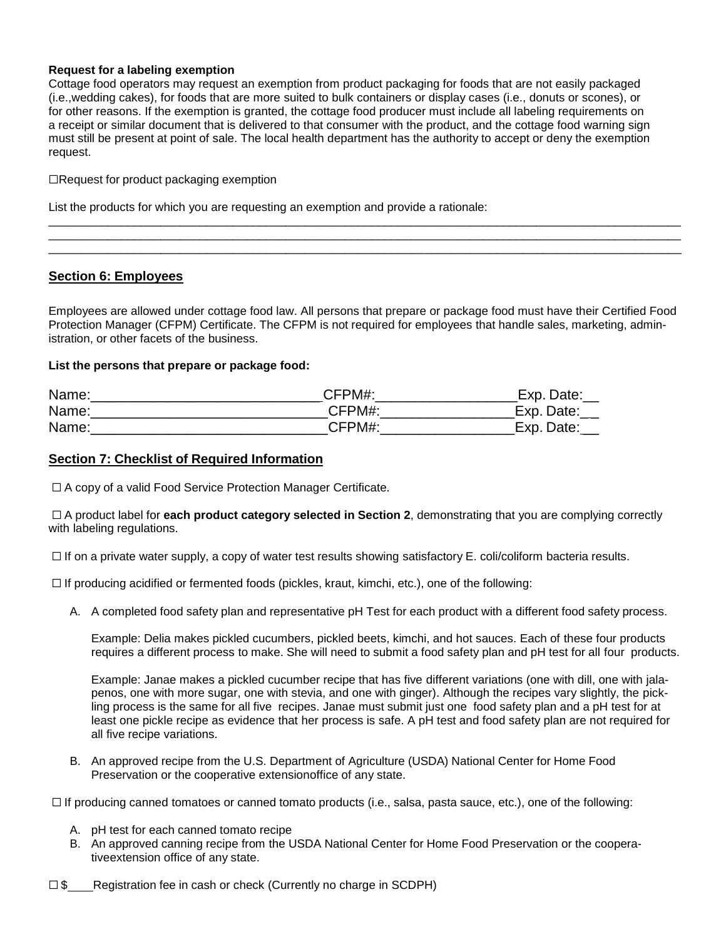#### **Request for a labeling exemption**

Cottage food operators may request an exemption from product packaging for foods that are not easily packaged (i.e.,wedding cakes), for foods that are more suited to bulk containers or display cases (i.e., donuts or scones), or for other reasons. If the exemption is granted, the cottage food producer must include all labeling requirements on a receipt or similar document that is delivered to that consumer with the product, and the cottage food warning sign must still be present at point of sale. The local health department has the authority to accept or deny the exemption request.

⬜Request for product packaging exemption

List the products for which you are requesting an exemption and provide a rationale:

## **Section 6: Employees**

Employees are allowed under cottage food law. All persons that prepare or package food must have their Certified Food Protection Manager (CFPM) Certificate. The CFPM is not required for employees that handle sales, marketing, administration, or other facets of the business.

 $\_$  ,  $\_$  ,  $\_$  ,  $\_$  ,  $\_$  ,  $\_$  ,  $\_$  ,  $\_$  ,  $\_$  ,  $\_$  ,  $\_$  ,  $\_$  ,  $\_$  ,  $\_$  ,  $\_$  ,  $\_$  ,  $\_$  ,  $\_$  ,  $\_$  ,  $\_$  ,  $\_$  ,  $\_$  ,  $\_$  ,  $\_$  ,  $\_$  ,  $\_$  ,  $\_$  ,  $\_$  ,  $\_$  ,  $\_$  ,  $\_$  ,  $\_$  ,  $\_$  ,  $\_$  ,  $\_$  ,  $\_$  ,  $\_$  ,  $\_$  ,  $\_$  ,  $\_$  ,  $\_$  ,  $\_$  ,  $\_$  ,  $\_$  ,  $\_$  ,  $\_$  ,  $\_$  ,  $\_$  ,  $\_$  ,  $\_$  ,  $\_$  ,  $\_$  ,  $\_$  ,  $\_$  ,  $\_$  ,  $\_$  ,  $\_$  ,  $\_$  ,  $\_$  ,  $\_$  ,  $\_$  ,  $\_$  ,  $\_$  ,  $\_$  ,  $\_$  ,  $\_$  ,  $\_$  ,  $\_$  ,  $\_$  ,  $\_$  ,  $\_$  ,  $\_$  ,  $\_$  ,  $\_$  , \_\_\_\_\_\_\_\_\_\_\_\_\_\_\_\_\_\_\_\_\_\_\_\_\_\_\_\_\_\_\_\_\_\_\_\_\_\_\_\_\_\_\_\_\_\_\_\_\_\_\_\_\_\_\_\_\_\_\_\_\_\_\_\_\_\_\_\_\_\_\_\_\_\_\_\_\_\_\_\_\_\_\_\_\_\_\_\_\_\_\_\_\_\_\_\_

#### **List the persons that prepare or package food:**

| Name: | CFPM#: | Date:<br>Exp. |
|-------|--------|---------------|
| Name: | CFPM#  | Exp. Date:    |
| Name: | CFPM#  | Exp.<br>Date: |

## **Section 7: Checklist of Required Information**

□ A copy of a valid Food Service Protection Manager Certificate.

□ A product label for **each product category selected in Section 2**, demonstrating that you are complying correctly with labeling regulations.

 $\square$  If on a private water supply, a copy of water test results showing satisfactory E. coli/coliform bacteria results.

 $\square$  If producing acidified or fermented foods (pickles, kraut, kimchi, etc.), one of the following:

A. A completed food safety plan and representative pH Test for each product with a different food safety process.

Example: Delia makes pickled cucumbers, pickled beets, kimchi, and hot sauces. Each of these four products requires a different process to make. She will need to submit a food safety plan and pH test for all four products.

Example: Janae makes a pickled cucumber recipe that has five different variations (one with dill, one with jalapenos, one with more sugar, one with stevia, and one with ginger). Although the recipes vary slightly, the pickling process is the same for all five recipes. Janae must submit just one food safety plan and a pH test for at least one pickle recipe as evidence that her process is safe. A pH test and food safety plan are not required for all five recipe variations.

B. An approved recipe from the U.S. Department of Agriculture (USDA) National Center for Home Food Preservation or the cooperative extensionoffice of any state.

□ If producing canned tomatoes or canned tomato products (i.e., salsa, pasta sauce, etc.), one of the following:

- A. pH test for each canned tomato recipe
- B. An approved canning recipe from the USDA National Center for Home Food Preservation or the cooperativeextension office of any state.
- $\square$  \$ Registration fee in cash or check (Currently no charge in SCDPH)